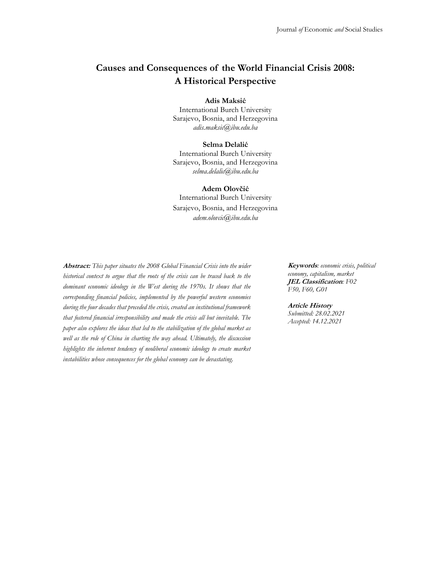# **Causes and Consequences of the World Financial Crisis 2008: A Historical Perspective**

**Adis Maksić**

International Burch University Sarajevo, Bosnia, and Herzegovina *[adis.maksic@ibu.edu.ba](mailto:adis.maksic@ibu.edu.ba)*

#### **Selma Delalić**

International Burch University Sarajevo, Bosnia, and Herzegovina *[selma.delalic@ibu.edu.ba](mailto:selma.delalic@ibu.edu.ba)*

#### **Adem Olovčić**

International Burch University Sarajevo, Bosnia, and Herzegovina *[adem.olovcic@ibu.edu.ba](mailto:adem.olovcic@ibu.edu.ba)*

**Abstract:** *This paper situates the 2008 Global Financial Crisis into the wider historical context to argue that the roots of the crisis can be traced back to the dominant economic ideology in the West during the 1970s. It shows that the corresponding financial policies, implemented by the powerful western economies during the four decades that preceded the crisis, created an institutional framework that fostered financial irresponsibility and made the crisis all but inevitable. The paper also explores the ideas that led to the stabilization of the global market as well as the role of China in charting the way ahead. Ultimately, the discussion highlights the inherent tendency of neoliberal economic ideology to create market instabilities whose consequences for the global economy can be devastating.*

**Keywords***: economic crisis, political economy, capitalism, market* **JEL Classification***: F02 F50, F60, G01*

#### **Article History**

*Submitted: 28.02.2021 Accepted: 14.12.2021*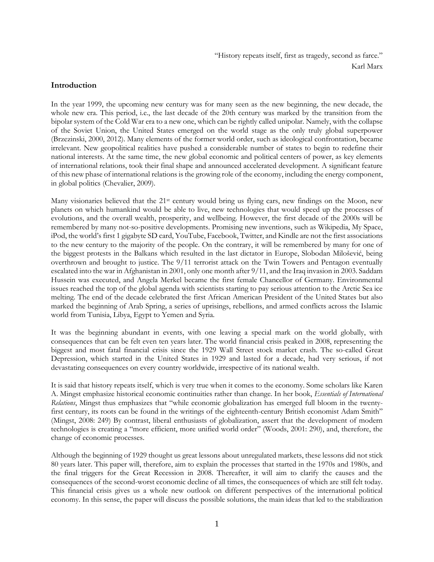"History repeats itself, first as tragedy, second as farce." Karl Marx

#### **Introduction**

In the year 1999, the upcoming new century was for many seen as the new beginning, the new decade, the whole new era. This period, i.e., the last decade of the 20th century was marked by the transition from the bipolar system of the Cold War era to a new one, which can be rightly called unipolar. Namely, with the collapse of the Soviet Union, the United States emerged on the world stage as the only truly global superpower (Brzezinski, 2000, 2012). Many elements of the former world order, such as ideological confrontation, became irrelevant. New geopolitical realities have pushed a considerable number of states to begin to redefine their national interests. At the same time, the new global economic and political centers of power, as key elements of international relations, took their final shape and announced accelerated development. A significant feature of this new phase of international relations is the growing role of the economy, including the energy component, in global politics (Chevalier, 2009).

Many visionaries believed that the  $21$ <sup>st</sup> century would bring us flying cars, new findings on the Moon, new planets on which humankind would be able to live, new technologies that would speed up the processes of evolutions, and the overall wealth, prosperity, and wellbeing. However, the first decade of the 2000s will be remembered by many not-so-positive developments. Promising new inventions, such as Wikipedia, My Space, iPod, the world's first 1 gigabyte SD card, YouTube, Facebook, Twitter, and Kindle are not the first associations to the new century to the majority of the people. On the contrary, it will be remembered by many for one of the biggest protests in the Balkans which resulted in the last dictator in Europe, Slobodan Milošević, being overthrown and brought to justice. The 9/11 terrorist attack on the Twin Towers and Pentagon eventually escalated into the war in Afghanistan in 2001, only one month after 9/11, and the Iraq invasion in 2003. Saddam Hussein was executed, and Angela Merkel became the first female Chancellor of Germany. Environmental issues reached the top of the global agenda with scientists starting to pay serious attention to the Arctic Sea ice melting. The end of the decade celebrated the first African American President of the United States but also marked the beginning of Arab Spring, a series of uprisings, rebellions, and armed conflicts across the Islamic world from Tunisia, Libya, Egypt to Yemen and Syria.

It was the beginning abundant in events, with one leaving a special mark on the world globally, with consequences that can be felt even ten years later. The world financial crisis peaked in 2008, representing the biggest and most fatal financial crisis since the 1929 Wall Street stock market crash. The so-called Great Depression, which started in the United States in 1929 and lasted for a decade, had very serious, if not devastating consequences on every country worldwide, irrespective of its national wealth.

It is said that history repeats itself, which is very true when it comes to the economy. Some scholars like Karen A. Mingst emphasize historical economic continuities rather than change. In her book, *Essentials of International Relations*, Mingst thus emphasizes that "while economic globalization has emerged full bloom in the twentyfirst century, its roots can be found in the writings of the eighteenth-century British economist Adam Smith" (Mingst, 2008: 249) By contrast, liberal enthusiasts of globalization, assert that the development of modern technologies is creating a "more efficient, more unified world order" (Woods, 2001: 290), and, therefore, the change of economic processes.

Although the beginning of 1929 thought us great lessons about unregulated markets, these lessons did not stick 80 years later. This paper will, therefore, aim to explain the processes that started in the 1970s and 1980s, and the final triggers for the Great Recession in 2008. Thereafter, it will aim to clarify the causes and the consequences of the second-worst economic decline of all times, the consequences of which are still felt today. This financial crisis gives us a whole new outlook on different perspectives of the international political economy. In this sense, the paper will discuss the possible solutions, the main ideas that led to the stabilization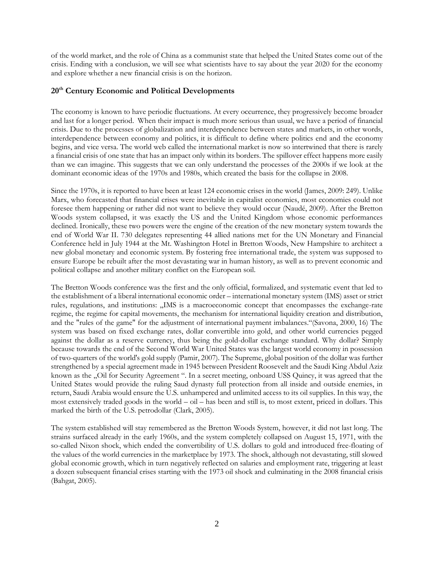of the world market, and the role of China as a communist state that helped the United States come out of the crisis. Ending with a conclusion, we will see what scientists have to say about the year 2020 for the economy and explore whether a new financial crisis is on the horizon.

# **20th Century Economic and Political Developments**

The economy is known to have periodic fluctuations. At every occurrence, they progressively become broader and last for a longer period. When their impact is much more serious than usual, we have a period of financial crisis. Due to the processes of globalization and interdependence between states and markets, in other words, interdependence between economy and politics, it is difficult to define where politics end and the economy begins, and vice versa. The world web called the international market is now so intertwined that there is rarely a financial crisis of one state that has an impact only within its borders. The spillover effect happens more easily than we can imagine. This suggests that we can only understand the processes of the 2000s if we look at the dominant economic ideas of the 1970s and 1980s, which created the basis for the collapse in 2008.

Since the 1970s, it is reported to have been at least 124 economic crises in the world (James, 2009: 249). Unlike Marx, who forecasted that financial crises were inevitable in capitalist economies, most economies could not foresee them happening or rather did not want to believe they would occur (Naudé, 2009). After the Bretton Woods system collapsed, it was exactly the US and the United Kingdom whose economic performances declined. Ironically, these two powers were the engine of the creation of the new monetary system towards the end of World War II. 730 delegates representing 44 allied nations met for the UN Monetary and Financial Conference held in July 1944 at the Mt. Washington Hotel in Bretton Woods, New Hampshire to architect a new global monetary and economic system. By fostering free international trade, the system was supposed to ensure Europe be rebuilt after the most devastating war in human history, as well as to prevent economic and political collapse and another military conflict on the European soil.

The Bretton Woods conference was the first and the only official, formalized, and systematic event that led to the establishment of a liberal international economic order – international monetary system (IMS) asset or strict rules, regulations, and institutions: "IMS is a macroeconomic concept that encompasses the exchange-rate regime, the regime for capital movements, the mechanism for international liquidity creation and distribution, and the "rules of the game" for the adjustment of international payment imbalances."(Savona, 2000, 16) The system was based on fixed exchange rates, dollar convertible into gold, and other world currencies pegged against the dollar as a reserve currency, thus being the gold-dollar exchange standard. Why dollar? Simply because towards the end of the Second World War United States was the largest world economy in possession of two-quarters of the world's gold supply (Pamir, 2007). The Supreme, global position of the dollar was further strengthened by a special agreement made in 1945 between President Roosevelt and the Saudi King Abdul Aziz known as the "Oil for Security Agreement ". In a secret meeting, onboard USS Quincy, it was agreed that the United States would provide the ruling Saud dynasty full protection from all inside and outside enemies, in return, Saudi Arabia would ensure the U.S. unhampered and unlimited access to its oil supplies. In this way, the most extensively traded goods in the world – oil – has been and still is, to most extent, priced in dollars. This marked the birth of the U.S. petrodollar (Clark, 2005).

The system established will stay remembered as the Bretton Woods System, however, it did not last long. The strains surfaced already in the early 1960s, and the system completely collapsed on August 15, 1971, with the so-called Nixon shock, which ended the convertibility of U.S. dollars to gold and introduced free-floating of the values of the world currencies in the marketplace by 1973. The shock, although not devastating, still slowed global economic growth, which in turn negatively reflected on salaries and employment rate, triggering at least a dozen subsequent financial crises starting with the 1973 oil shock and culminating in the 2008 financial crisis (Bahgat, 2005).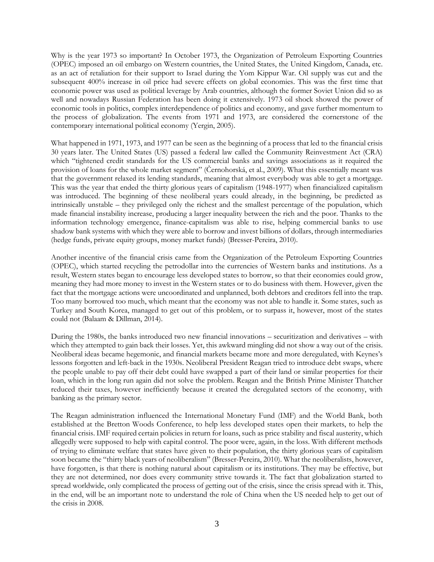Why is the year 1973 so important? In October 1973, the Organization of Petroleum Exporting Countries (OPEC) imposed an oil embargo on Western countries, the United States, the United Kingdom, Canada, etc. as an act of retaliation for their support to Israel during the Yom Kippur War. Oil supply was cut and the subsequent 400% increase in oil price had severe effects on global economies. This was the first time that economic power was used as political leverage by Arab countries, although the former Soviet Union did so as well and nowadays Russian Federation has been doing it extensively. 1973 oil shock showed the power of economic tools in politics, complex interdependence of politics and economy, and gave further momentum to the process of globalization. The events from 1971 and 1973, are considered the cornerstone of the contemporary international political economy (Yergin, 2005).

What happened in 1971, 1973, and 1977 can be seen as the beginning of a process that led to the financial crisis 30 years later. The United States (US) passed a federal law called the Community Reinvestment Act (CRA) which "tightened credit standards for the US commercial banks and savings associations as it required the provision of loans for the whole market segment" (Černohorská, et al., 2009). What this essentially meant was that the government relaxed its lending standards, meaning that almost everybody was able to get a mortgage. This was the year that ended the thirty glorious years of capitalism (1948-1977) when financialized capitalism was introduced. The beginning of these neoliberal years could already, in the beginning, be predicted as intrinsically unstable – they privileged only the richest and the smallest percentage of the population, which made financial instability increase, producing a larger inequality between the rich and the poor. Thanks to the information technology emergence, finance-capitalism was able to rise, helping commercial banks to use shadow bank systems with which they were able to borrow and invest billions of dollars, through intermediaries (hedge funds, private equity groups, money market funds) (Bresser-Pereira, 2010).

Another incentive of the financial crisis came from the Organization of the Petroleum Exporting Countries (OPEC), which started recycling the petrodollar into the currencies of Western banks and institutions. As a result, Western states began to encourage less developed states to borrow, so that their economies could grow, meaning they had more money to invest in the Western states or to do business with them. However, given the fact that the mortgage actions were uncoordinated and unplanned, both debtors and creditors fell into the trap. Too many borrowed too much, which meant that the economy was not able to handle it. Some states, such as Turkey and South Korea, managed to get out of this problem, or to surpass it, however, most of the states could not (Balaam & Dillman, 2014).

During the 1980s, the banks introduced two new financial innovations – securitization and derivatives – with which they attempted to gain back their losses. Yet, this awkward mingling did not show a way out of the crisis. Neoliberal ideas became hegemonic, and financial markets became more and more deregulated, with Keynes's lessons forgotten and left-back in the 1930s. Neoliberal President Reagan tried to introduce debt swaps, where the people unable to pay off their debt could have swapped a part of their land or similar properties for their loan, which in the long run again did not solve the problem. Reagan and the British Prime Minister Thatcher reduced their taxes, however inefficiently because it created the deregulated sectors of the economy, with banking as the primary sector.

The Reagan administration influenced the International Monetary Fund (IMF) and the World Bank, both established at the Bretton Woods Conference, to help less developed states open their markets, to help the financial crisis. IMF required certain policies in return for loans, such as price stability and fiscal austerity, which allegedly were supposed to help with capital control. The poor were, again, in the loss. With different methods of trying to eliminate welfare that states have given to their population, the thirty glorious years of capitalism soon became the "thirty black years of neoliberalism" (Bresser-Pereira, 2010). What the neoliberalists, however, have forgotten, is that there is nothing natural about capitalism or its institutions. They may be effective, but they are not determined, nor does every community strive towards it. The fact that globalization started to spread worldwide, only complicated the process of getting out of the crisis, since the crisis spread with it. This, in the end, will be an important note to understand the role of China when the US needed help to get out of the crisis in 2008.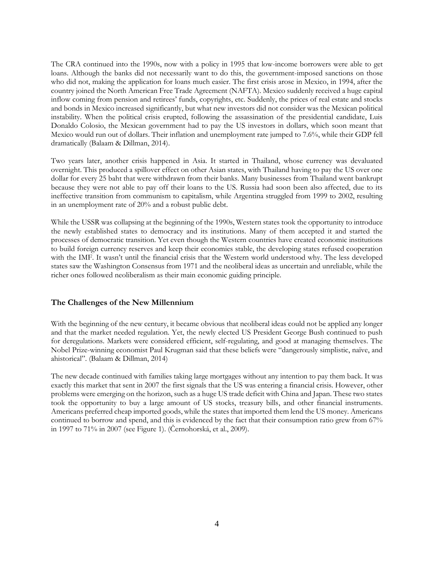The CRA continued into the 1990s, now with a policy in 1995 that low-income borrowers were able to get loans. Although the banks did not necessarily want to do this, the government-imposed sanctions on those who did not, making the application for loans much easier. The first crisis arose in Mexico, in 1994, after the country joined the North American Free Trade Agreement (NAFTA). Mexico suddenly received a huge capital inflow coming from pension and retirees' funds, copyrights, etc. Suddenly, the prices of real estate and stocks and bonds in Mexico increased significantly, but what new investors did not consider was the Mexican political instability. When the political crisis erupted, following the assassination of the presidential candidate, Luis Donaldo Colosio, the Mexican government had to pay the US investors in dollars, which soon meant that Mexico would run out of dollars. Their inflation and unemployment rate jumped to 7.6%, while their GDP fell dramatically (Balaam & Dillman, 2014).

Two years later, another crisis happened in Asia. It started in Thailand, whose currency was devaluated overnight. This produced a spillover effect on other Asian states, with Thailand having to pay the US over one dollar for every 25 baht that were withdrawn from their banks. Many businesses from Thailand went bankrupt because they were not able to pay off their loans to the US. Russia had soon been also affected, due to its ineffective transition from communism to capitalism, while Argentina struggled from 1999 to 2002, resulting in an unemployment rate of 20% and a robust public debt.

While the USSR was collapsing at the beginning of the 1990s, Western states took the opportunity to introduce the newly established states to democracy and its institutions. Many of them accepted it and started the processes of democratic transition. Yet even though the Western countries have created economic institutions to build foreign currency reserves and keep their economies stable, the developing states refused cooperation with the IMF. It wasn't until the financial crisis that the Western world understood why. The less developed states saw the Washington Consensus from 1971 and the neoliberal ideas as uncertain and unreliable, while the richer ones followed neoliberalism as their main economic guiding principle.

## **The Challenges of the New Millennium**

With the beginning of the new century, it became obvious that neoliberal ideas could not be applied any longer and that the market needed regulation. Yet, the newly elected US President George Bush continued to push for deregulations. Markets were considered efficient, self-regulating, and good at managing themselves. The Nobel Prize-winning economist Paul Krugman said that these beliefs were "dangerously simplistic, naïve, and ahistorical". (Balaam & Dillman, 2014)

The new decade continued with families taking large mortgages without any intention to pay them back. It was exactly this market that sent in 2007 the first signals that the US was entering a financial crisis. However, other problems were emerging on the horizon, such as a huge US trade deficit with China and Japan. These two states took the opportunity to buy a large amount of US stocks, treasury bills, and other financial instruments. Americans preferred cheap imported goods, while the states that imported them lend the US money. Americans continued to borrow and spend, and this is evidenced by the fact that their consumption ratio grew from 67% in 1997 to 71% in 2007 (see Figure 1). (Černohorská, et al., 2009).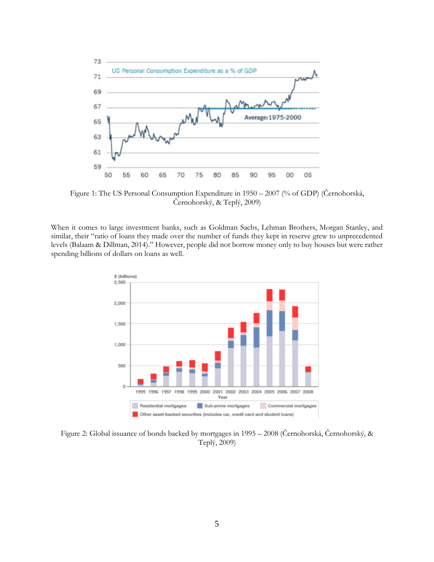

Figure 1: The US Personal Consumption Expenditure in 1950 – 2007 (% of GDP) (Černohorská, Černohorský, & Teplý, 2009)

When it comes to large investment banks, such as Goldman Sachs, Lehman Brothers, Morgan Stanley, and similar, their "ratio of loans they made over the number of funds they kept in reserve grew to unprecedented levels (Balaam & Dillman, 2014)." However, people did not borrow money only to buy houses but were rather spending billions of dollars on loans as well.



Figure 2: Global issuance of bonds backed by mortgages in 1995 – 2008 (Černohorská, Černohorský, & Teplý, 2009)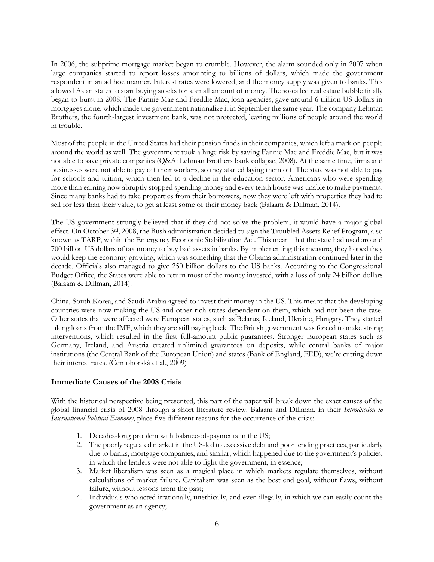In 2006, the subprime mortgage market began to crumble. However, the alarm sounded only in 2007 when large companies started to report losses amounting to billions of dollars, which made the government respondent in an ad hoc manner. Interest rates were lowered, and the money supply was given to banks. This allowed Asian states to start buying stocks for a small amount of money. The so-called real estate bubble finally began to burst in 2008. The Fannie Mae and Freddie Mac, loan agencies, gave around 6 trillion US dollars in mortgages alone, which made the government nationalize it in September the same year. The company Lehman Brothers, the fourth-largest investment bank, was not protected, leaving millions of people around the world in trouble.

Most of the people in the United States had their pension funds in their companies, which left a mark on people around the world as well. The government took a huge risk by saving Fannie Mae and Freddie Mac, but it was not able to save private companies (Q&A: Lehman Brothers bank collapse, 2008). At the same time, firms and businesses were not able to pay off their workers, so they started laying them off. The state was not able to pay for schools and tuition, which then led to a decline in the education sector. Americans who were spending more than earning now abruptly stopped spending money and every tenth house was unable to make payments. Since many banks had to take properties from their borrowers, now they were left with properties they had to sell for less than their value, to get at least some of their money back (Balaam & Dillman, 2014).

The US government strongly believed that if they did not solve the problem, it would have a major global effect. On October 3rd, 2008, the Bush administration decided to sign the Troubled Assets Relief Program, also known as TARP, within the Emergency Economic Stabilization Act. This meant that the state had used around 700 billion US dollars of tax money to buy bad assets in banks. By implementing this measure, they hoped they would keep the economy growing, which was something that the Obama administration continued later in the decade. Officials also managed to give 250 billion dollars to the US banks. According to the Congressional Budget Office, the States were able to return most of the money invested, with a loss of only 24 billion dollars (Balaam & Dillman, 2014).

China, South Korea, and Saudi Arabia agreed to invest their money in the US. This meant that the developing countries were now making the US and other rich states dependent on them, which had not been the case. Other states that were affected were European states, such as Belarus, Iceland, Ukraine, Hungary. They started taking loans from the IMF, which they are still paying back. The British government was forced to make strong interventions, which resulted in the first full-amount public guarantees. Stronger European states such as Germany, Ireland, and Austria created unlimited guarantees on deposits, while central banks of major institutions (the Central Bank of the European Union) and states (Bank of England, FED), we're cutting down their interest rates. (Černohorská et al., 2009)

## **Immediate Causes of the 2008 Crisis**

With the historical perspective being presented, this part of the paper will break down the exact causes of the global financial crisis of 2008 through a short literature review. Balaam and Dillman, in their *Introduction to International Political Economy*, place five different reasons for the occurrence of the crisis:

- 1. Decades-long problem with balance-of-payments in the US;
- 2. The poorly regulated market in the US-led to excessive debt and poor lending practices, particularly due to banks, mortgage companies, and similar, which happened due to the government's policies, in which the lenders were not able to fight the government, in essence;
- 3. Market liberalism was seen as a magical place in which markets regulate themselves, without calculations of market failure. Capitalism was seen as the best end goal, without flaws, without failure, without lessons from the past;
- 4. Individuals who acted irrationally, unethically, and even illegally, in which we can easily count the government as an agency;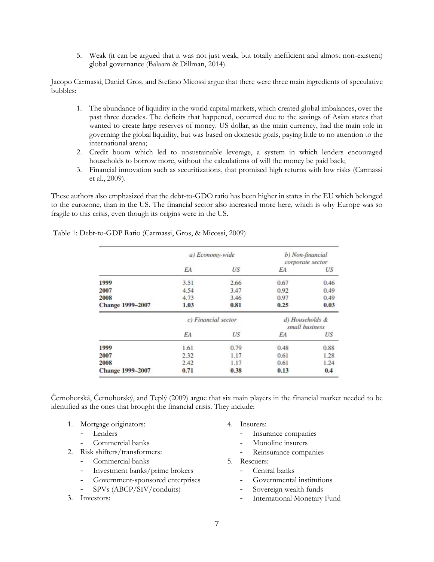5. Weak (it can be argued that it was not just weak, but totally inefficient and almost non-existent) global governance (Balaam & Dillman, 2014).

Jacopo Carmassi, Daniel Gros, and Stefano Micossi argue that there were three main ingredients of speculative bubbles:

- 1. The abundance of liquidity in the world capital markets, which created global imbalances, over the past three decades. The deficits that happened, occurred due to the savings of Asian states that wanted to create large reserves of money. US dollar, as the main currency, had the main role in governing the global liquidity, but was based on domestic goals, paying little to no attention to the international arena;
- 2. Credit boom which led to unsustainable leverage, a system in which lenders encouraged households to borrow more, without the calculations of will the money be paid back;
- 3. Financial innovation such as securitizations, that promised high returns with low risks (Carmassi et al., 2009).

These authors also emphasized that the debt-to-GDO ratio has been higher in states in the EU which belonged to the eurozone, than in the US. The financial sector also increased more here, which is why Europe was so fragile to this crisis, even though its origins were in the US.

|                         | a) Economy-wide     |      | b) Non-financial<br>corporate sector |      |
|-------------------------|---------------------|------|--------------------------------------|------|
|                         | EA                  | US   | EA                                   | US   |
| 1999                    | 3.51                | 2.66 | 0.67                                 | 0.46 |
| 2007                    | 4.54                | 3.47 | 0.92                                 | 0.49 |
| 2008                    | 4.73                | 3.46 | 0.97                                 | 0.49 |
| <b>Change 1999-2007</b> | 1.03                | 0.81 | 0.25                                 | 0.03 |
|                         | c) Financial sector |      | d) Households &<br>small business    |      |
|                         | ΕA                  | US   | EA                                   | US   |
| 1999                    | 1.61                | 0.79 | 0.48                                 | 0.88 |
| 2007                    | 2.32                | 1.17 | 0.61                                 | 1.28 |
| 2008                    | 2.42                | 1.17 | 0.61                                 | 1.24 |
| <b>Change 1999-2007</b> | 0.71                | 0.38 | 0.13                                 | 0.4  |

Table 1: Debt-to-GDP Ratio (Carmassi, Gros, & Micossi, 2009)

Černohorská, Černohorský, and Teplý (2009) argue that six main players in the financial market needed to be identified as the ones that brought the financial crisis. They include:

- 1. Mortgage originators:
	- Lenders
	- Commercial banks
- 2. Risk shifters/transformers:
	- Commercial banks
	- Investment banks/prime brokers
	- Government-sponsored enterprises
	- SPVs (ABCP/SIV/conduits)
- 3. Investors:
- 4. Insurers:
	- Insurance companies
	- Monoline insurers
	- Reinsurance companies
- 5. Rescuers:
	- Central banks
	- Governmental institutions
	- Sovereign wealth funds
	- International Monetary Fund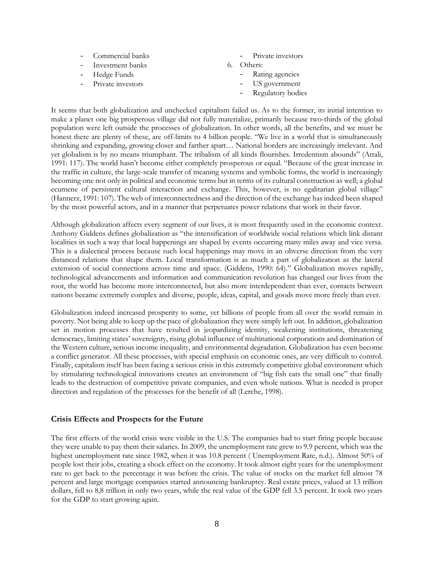- Commercial banks
- Investment banks
- Hedge Funds
- Private investors
- Private investors
- 6. Others:
	- Rating agencies
	- US government
	- Regulatory bodies

It seems that both globalization and unchecked capitalism failed us. As to the former, its initial intention to make a planet one big prosperous village did not fully materialize, primarily because two-thirds of the global population were left outside the processes of globalization. In other words, all the benefits, and we must be honest there are plenty of these, are off-limits to 4 billion people. "We live in a world that is simultaneously shrinking and expanding, growing closer and farther apart… National borders are increasingly irrelevant. And yet globalism is by no means triumphant. The tribalism of all kinds flourishes. Irredentism abounds" (Attali, 1991: 117). The world hasn't become either completely prosperous or equal. "Because of the great increase in the traffic in culture, the large-scale transfer of meaning systems and symbolic forms, the world is increasingly becoming one not only in political and economic terms but in terms of its cultural construction as well; a global ecumene of persistent cultural interaction and exchange. This, however, is no egalitarian global village" (Hannerz, 1991: 107). The web of interconnectedness and the direction of the exchange has indeed been shaped by the most powerful actors, and in a manner that perpetuates power relations that work in their favor.

Although globalization affects every segment of our lives, it is most frequently used in the economic context. Anthony Giddens defines globalization as "the intensification of worldwide social relations which link distant localities in such a way that local happenings are shaped by events occurring many miles away and vice versa. This is a dialectical process because such local happenings may move in an obverse direction from the very distanced relations that shape them. Local transformation is as much a part of globalization as the lateral extension of social connections across time and space. (Giddens, 1990: 64)." Globalization moves rapidly, technological advancements and information and communication revolution has changed our lives from the root, the world has become more interconnected, but also more interdependent than ever, contacts between nations became extremely complex and diverse, people, ideas, capital, and goods move more freely than ever.

Globalization indeed increased prosperity to some, yet billions of people from all over the world remain in poverty. Not being able to keep up the pace of globalization they were simply left out. In addition, globalization set in motion processes that have resulted in jeopardizing identity, weakening institutions, threatening democracy, limiting states' sovereignty, rising global influence of multinational corporations and domination of the Western culture, serious income inequality, and environmental degradation. Globalization has even become a conflict generator. All these processes, with special emphasis on economic ones, are very difficult to control. Finally, capitalism itself has been facing a serious crisis in this extremely competitive global environment which by stimulating technological innovations creates an environment of "big fish eats the small one" that finally leads to the destruction of competitive private companies, and even whole nations. What is needed is proper direction and regulation of the processes for the benefit of all (Lerche, 1998).

#### **Crisis Effects and Prospects for the Future**

The first effects of the world crisis were visible in the U.S. The companies had to start firing people because they were unable to pay them their salaries. In 2009, the unemployment rate grew to 9.9 percent, which was the highest unemployment rate since 1982, when it was 10.8 percent ( Unemployment Rate, n.d.). Almost 50% of people lost their jobs, creating a shock effect on the economy. It took almost eight years for the unemployment rate to get back to the percentage it was before the crisis. The value of stocks on the market fell almost 78 percent and large mortgage companies started announcing bankruptcy. Real estate prices, valued at 13 trillion dollars, fell to 8,8 trillion in only two years, while the real value of the GDP fell 3.5 percent. It took two years for the GDP to start growing again.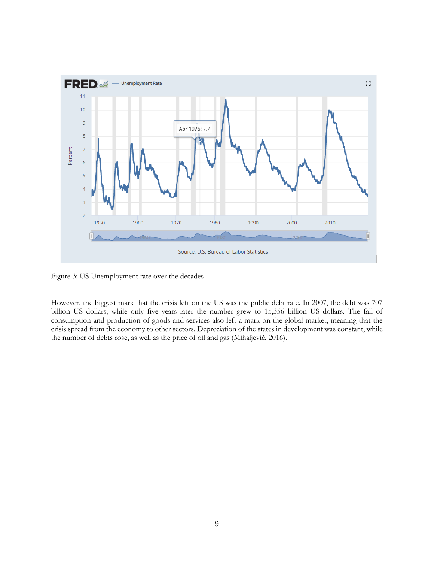

Figure 3: US Unemployment rate over the decades

However, the biggest mark that the crisis left on the US was the public debt rate. In 2007, the debt was 707 billion US dollars, while only five years later the number grew to 15,356 billion US dollars. The fall of consumption and production of goods and services also left a mark on the global market, meaning that the crisis spread from the economy to other sectors. Depreciation of the states in development was constant, while the number of debts rose, as well as the price of oil and gas (Mihaljević, 2016).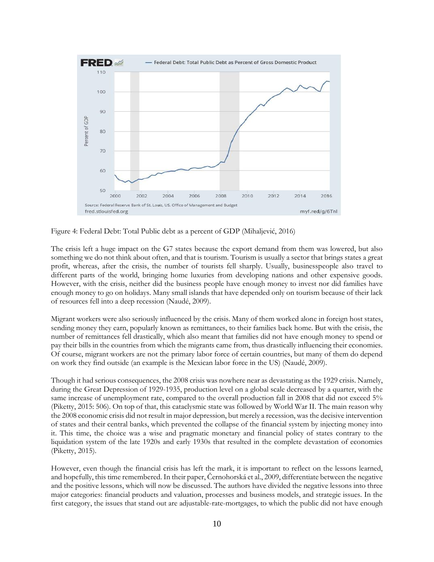

Figure 4: Federal Debt: Total Public debt as a percent of GDP (Mihaljević, 2016)

The crisis left a huge impact on the G7 states because the export demand from them was lowered, but also something we do not think about often, and that is tourism. Tourism is usually a sector that brings states a great profit, whereas, after the crisis, the number of tourists fell sharply. Usually, businesspeople also travel to different parts of the world, bringing home luxuries from developing nations and other expensive goods. However, with the crisis, neither did the business people have enough money to invest nor did families have enough money to go on holidays. Many small islands that have depended only on tourism because of their lack of resources fell into a deep recession (Naudé, 2009).

Migrant workers were also seriously influenced by the crisis. Many of them worked alone in foreign host states, sending money they earn, popularly known as remittances, to their families back home. But with the crisis, the number of remittances fell drastically, which also meant that families did not have enough money to spend or pay their bills in the countries from which the migrants came from, thus drastically influencing their economies. Of course, migrant workers are not the primary labor force of certain countries, but many of them do depend on work they find outside (an example is the Mexican labor force in the US) (Naudé, 2009).

Though it had serious consequences, the 2008 crisis was nowhere near as devastating as the 1929 crisis. Namely, during the Great Depression of 1929-1935, production level on a global scale decreased by a quarter, with the same increase of unemployment rate, compared to the overall production fall in 2008 that did not exceed 5% (Piketty, 2015: 506). On top of that, this cataclysmic state was followed by World War II. The main reason why the 2008 economic crisis did not result in major depression, but merely a recession, was the decisive intervention of states and their central banks, which prevented the collapse of the financial system by injecting money into it. This time, the choice was a wise and pragmatic monetary and financial policy of states contrary to the liquidation system of the late 1920s and early 1930s that resulted in the complete devastation of economies (Piketty, 2015).

However, even though the financial crisis has left the mark, it is important to reflect on the lessons learned, and hopefully, this time remembered. In their paper, Černohorská et al., 2009, differentiate between the negative and the positive lessons, which will now be discussed. The authors have divided the negative lessons into three major categories: financial products and valuation, processes and business models, and strategic issues. In the first category, the issues that stand out are adjustable-rate-mortgages, to which the public did not have enough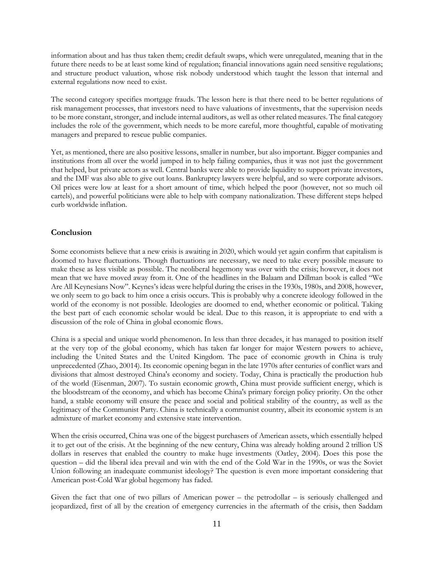information about and has thus taken them; credit default swaps, which were unregulated, meaning that in the future there needs to be at least some kind of regulation; financial innovations again need sensitive regulations; and structure product valuation, whose risk nobody understood which taught the lesson that internal and external regulations now need to exist.

The second category specifies mortgage frauds. The lesson here is that there need to be better regulations of risk management processes, that investors need to have valuations of investments, that the supervision needs to be more constant, stronger, and include internal auditors, as well as other related measures. The final category includes the role of the government, which needs to be more careful, more thoughtful, capable of motivating managers and prepared to rescue public companies.

Yet, as mentioned, there are also positive lessons, smaller in number, but also important. Bigger companies and institutions from all over the world jumped in to help failing companies, thus it was not just the government that helped, but private actors as well. Central banks were able to provide liquidity to support private investors, and the IMF was also able to give out loans. Bankruptcy lawyers were helpful, and so were corporate advisors. Oil prices were low at least for a short amount of time, which helped the poor (however, not so much oil cartels), and powerful politicians were able to help with company nationalization. These different steps helped curb worldwide inflation.

# **Conclusion**

Some economists believe that a new crisis is awaiting in 2020, which would yet again confirm that capitalism is doomed to have fluctuations. Though fluctuations are necessary, we need to take every possible measure to make these as less visible as possible. The neoliberal hegemony was over with the crisis; however, it does not mean that we have moved away from it. One of the headlines in the Balaam and Dillman book is called "We Are All Keynesians Now". Keynes's ideas were helpful during the crises in the 1930s, 1980s, and 2008, however, we only seem to go back to him once a crisis occurs. This is probably why a concrete ideology followed in the world of the economy is not possible. Ideologies are doomed to end, whether economic or political. Taking the best part of each economic scholar would be ideal. Due to this reason, it is appropriate to end with a discussion of the role of China in global economic flows.

China is a special and unique world phenomenon. In less than three decades, it has managed to position itself at the very top of the global economy, which has taken far longer for major Western powers to achieve, including the United States and the United Kingdom. The pace of economic growth in China is truly unprecedented (Zhao, 20014). Its economic opening began in the late 1970s after centuries of conflict wars and divisions that almost destroyed China's economy and society. Today, China is practically the production hub of the world (Eisenman, 2007). To sustain economic growth, China must provide sufficient energy, which is the bloodstream of the economy, and which has become China's primary foreign policy priority. On the other hand, a stable economy will ensure the peace and social and political stability of the country, as well as the legitimacy of the Communist Party. China is technically a communist country, albeit its economic system is an admixture of market economy and extensive state intervention.

When the crisis occurred, China was one of the biggest purchasers of American assets, which essentially helped it to get out of the crisis. At the beginning of the new century, China was already holding around 2 trillion US dollars in reserves that enabled the country to make huge investments (Oatley, 2004). Does this pose the question – did the liberal idea prevail and win with the end of the Cold War in the 1990s, or was the Soviet Union following an inadequate communist ideology? The question is even more important considering that American post-Cold War global hegemony has faded.

Given the fact that one of two pillars of American power – the petrodollar – is seriously challenged and jeopardized, first of all by the creation of emergency currencies in the aftermath of the crisis, then Saddam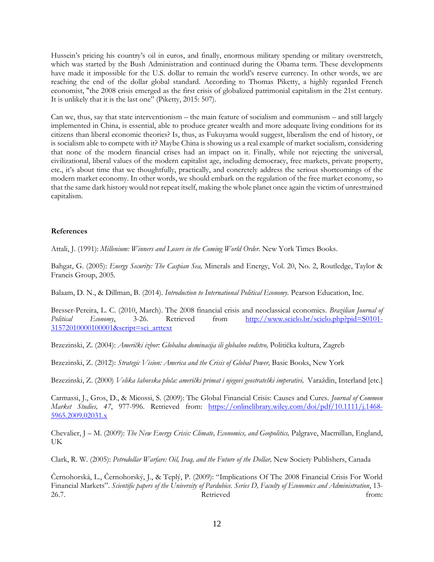Hussein's pricing his country's oil in euros, and finally, enormous military spending or military overstretch, which was started by the Bush Administration and continued during the Obama term. These developments have made it impossible for the U.S. dollar to remain the world's reserve currency. In other words, we are reaching the end of the dollar global standard. According to Thomas Piketty, a highly regarded French economist, "the 2008 crisis emerged as the first crisis of globalized patrimonial capitalism in the 21st century. It is unlikely that it is the last one" (Piketty, 2015: 507).

Can we, thus, say that state interventionism – the main feature of socialism and communism – and still largely implemented in China, is essential, able to produce greater wealth and more adequate living conditions for its citizens than liberal economic theories? Is, thus, as Fukuyama would suggest, liberalism the end of history, or is socialism able to compete with it? Maybe China is showing us a real example of market socialism, considering that none of the modern financial crises had an impact on it. Finally, while not rejecting the universal, civilizational, liberal values of the modern capitalist age, including democracy, free markets, private property, etc., it's about time that we thoughtfully, practically, and concretely address the serious shortcomings of the modern market economy. In other words, we should embark on the regulation of the free market economy, so that the same dark history would not repeat itself, making the whole planet once again the victim of unrestrained capitalism.

## **References**

Attali, J. (1991): *Millenium: Winners and Losers in the Coming World Order.* New York Times Books.

Bahgat, G. (2005): *Energy Security: The Caspian Sea,* Minerals and Energy, Vol. 20, No. 2, Routledge, Taylor & Francis Group, 2005.

Balaam, D. N., & Dillman, B. (2014). *Introduction to International Political Economy.* Pearson Education, Inc.

Bresser-Pereira, L. C. (2010, March). The 2008 financial crisis and neoclassical economics. *Brazilian Journal of Political Economy*, 3-26. Retrieved from [http://www.scielo.br/scielo.php?pid=S0101-](http://www.scielo.br/scielo.php?pid=S0101-31572010000100001&script=sci_arttext) [31572010000100001&script=sci\\_arttext](http://www.scielo.br/scielo.php?pid=S0101-31572010000100001&script=sci_arttext)

Brzezinski, Z. (2004): *Američki izbor: Globalna dominacija ili globalno vodstvo,* Politička kultura, Zagreb

Brzezinski, Z. (2012): *Strategic Vision: America and the Crisis of Global Power,* Basic Books, New York

Brzezinski, Z. (2000) *Velika šahovska ploča: američki primat i njegovi geostrateški imperativi,* Varaždin, Interland [etc.]

Carmassi, J., Gros, D., & Micossi, S. (2009): The Global Financial Crisis: Causes and Cures. *Journal of Common Market Studies, 47*, 977-996. Retrieved from: [https://onlinelibrary.wiley.com/doi/pdf/10.1111/j.1468-](https://onlinelibrary.wiley.com/doi/pdf/10.1111/j.1468-5965.2009.02031.x) [5965.2009.02031.x](https://onlinelibrary.wiley.com/doi/pdf/10.1111/j.1468-5965.2009.02031.x)

Chevalier, J – M. (2009): *The New Energy Crisis: Climate, Economics, and Geopolitics,* Palgrave, Macmillan, England, UK

Clark, R. W. (2005): *Petrodollar Warfare: Oil, Iraq, and the Future of the Dollar,* New Society Publishers, Canada

Černohorská, L., Černohorský, J., & Teplý, P. (2009): "Implications Of The 2008 Financial Crisis For World Financial Markets". *Scientific papers of the University of Pardubice. Series D, Faculty of Economics and Administration*, 13- 26.7. Retrieved from: